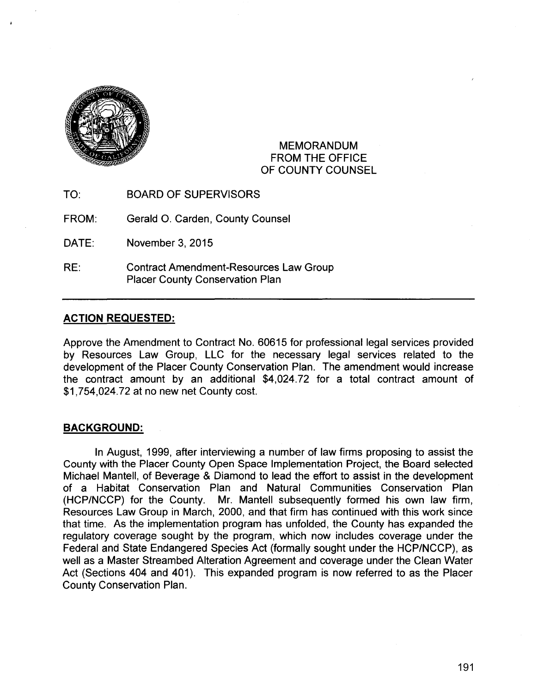

### MEMORANDUM FROM THE OFFICE OF COUNTY COUNSEL

TO: BOARD OF SUPERVISORS

FROM: Gerald 0. Carden, County Counsel

DATE: November 3, 2015

RE: Contract Amendment-Resources Law Group Placer County Conservation Plan

# **ACTION REQUESTED:**

Approve the Amendment to Contract No. 60615 for professional legal services provided by Resources Law Group, LLC for the necessary legal services related to the development of the Placer County Conservation Plan. The amendment would increase the contract amount by an additional \$4,024.72 for a total contract amount of \$1,754,024.72 at no new net County cost.

# **BACKGROUND:**

In August, 1999, after interviewing a number of law firms proposing to assist the County with the Placer County Open Space Implementation Project, the Board selected Michael Mantell, of Beverage & Diamond to lead the effort to assist in the development of a Habitat Conservation Plan and Natural Communities Conservation Plan (HCP/NCCP) for the County. Mr. Mantell subsequently formed his own law firm, Resources Law Group in March, 2000, and that firm has continued with this work since that time. As the implementation program has unfolded, the County has expanded the regulatory coverage sought by the program, which now includes coverage under the Federal and State Endangered Species Act (formally sought under the HCP/NCCP), as well as a Master Streambed Alteration Agreement and coverage under the Clean Water Act (Sections 404 and 401). This expanded program is now referred to as the Placer County Conservation Plan.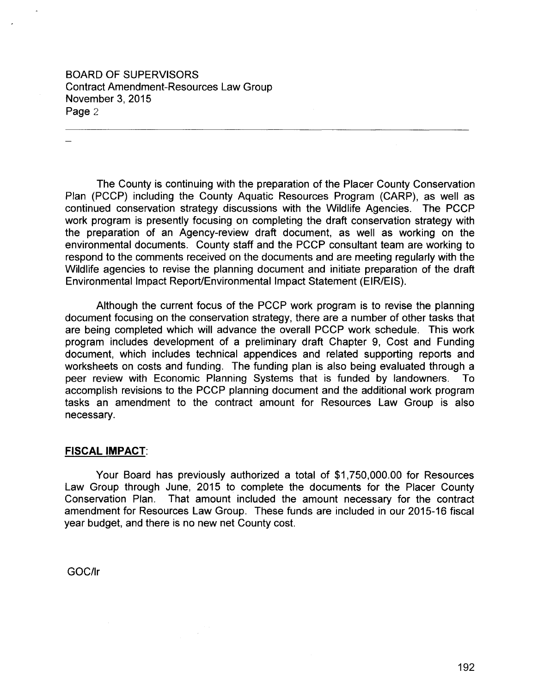BOARD OF SUPERVISORS Contract Amendment-Resources Law Group November 3, 2015 Page 2

The County is continuing with the preparation of the Placer County Conservation Plan (PCCP) including the County Aquatic Resources Program (CARP), as well as continued conservation strategy discussions with the Wildlife Agencies. The PCCP work program is presently focusing on completing the draft conservation strategy with the preparation of an Agency-review draft document, as well as working on the environmental documents. County staff and the PCCP consultant team are working to respond to the comments received on the documents and are meeting regularly with the Wildlife agencies to revise the planning document and initiate preparation of the draft Environmental Impact Report/Environmental Impact Statement (EIR/EIS).

Although the current focus of the PCCP work program is to revise the planning document focusing on the conservation strategy, there are a number of other tasks that are being completed which will advance the overall PCCP work schedule. This work program includes development of a preliminary draft Chapter 9, Cost and Funding document, which includes technical appendices and related supporting reports and worksheets on costs and funding. The funding plan is also being evaluated through a peer review with Economic Planning Systems that is funded by landowners. To accomplish revisions to the PCCP planning document and the additional work program tasks an amendment to the contract amount for Resources Law Group is also necessary.

### **FISCAL IMPACT:**

Your Board has previously authorized a total of \$1,750,000.00 for Resources Law Group through June, 2015 to complete the documents for the Placer County Conservation Plan. That amount included the amount necessary for the contract amendment for Resources Law Group. These funds are included in our 2015-16 fiscal year budget, and there is no new net County cost.

GOC/Ir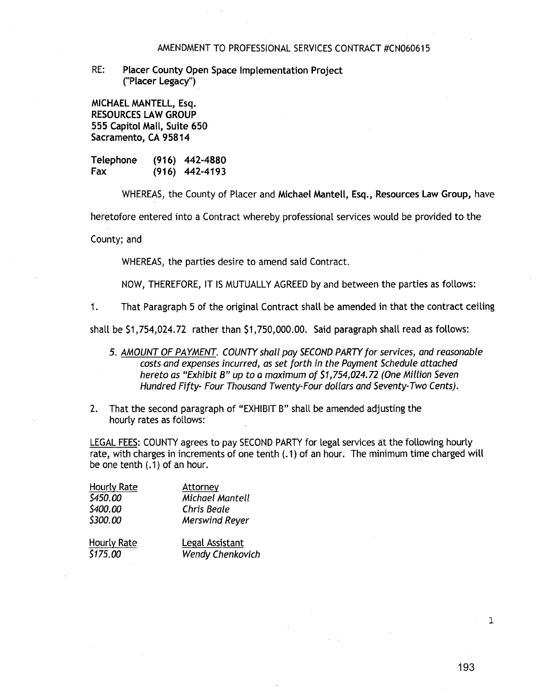#### AMENDMENT TO PROFESSIONAL SERVICES CONTRACT #CN060615

RE: Placer County Open Space Implementation Project ("Placer Legacy")

MICHAEL MANTELL, Esq. RESOURCES LAW GROUP 555 Capitol Mall, Suite 650 Sacramento, CA 95814

Telephone Fax (916) 442-4880 (916) 442-4193

WHEREAS, the County of Placer and Michael Mantell, Esq., Resources Law Group, have

heretofore entered into a Contract whereby professional services would be provided to the

County; and

WHEREAS, the parties desire to amend said Contract.

NOW, THEREFORE, IT IS MUTUALLY AGREED by and between the parties as follows:

1. That Paragraph 5 of the original Contract shall be amended in that the contract ceiling

shall be \$1,754,024.72 rather than \$1, 750,000.00. Said paragraph shall read as follows:

- 5. AMOUNT OF PAYMENT. COUNTY shall pay SECOND PARTY for services, and reasonable costs and expenses incurred, as set forth in the Payment Schedule attached hereto as "Exhibit B" up to a maximum of \$1,754,024.72 (One Million Seven Hundred Fifty- Four Thousand Twenty-Four dollars and Seventy-Two Cents).
- 2. That the second paragraph of "EXHIBIT B" shall be amended adjusting the hourly rates as follows:

LEGAL FEES: COUNTY agrees to pay SECOND PARTY for legal services at the following hourly rate, with charges in increments of one tenth (.1) of an hour. The minimum time charged will be one tenth  $(.1)$  of an hour.

| Hourly Rate | Attorney              |
|-------------|-----------------------|
| \$450.00    | Michael Mantell       |
| \$400.00    | Chris Beale           |
| \$300.00    | <b>Merswind Reyer</b> |
| Hourly Rate | Legal Assistant       |

\$175.00 Wendy Chenkovich